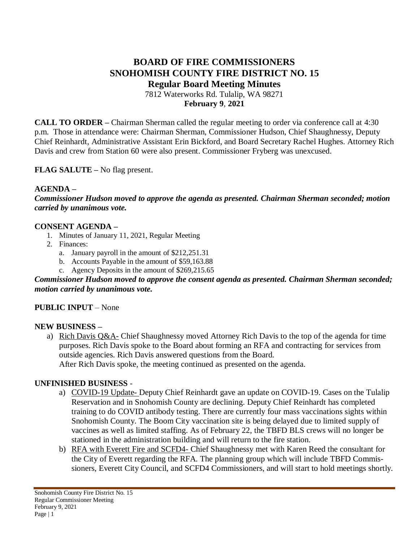## **BOARD OF FIRE COMMISSIONERS SNOHOMISH COUNTY FIRE DISTRICT NO. 15 Regular Board Meeting Minutes** 7812 Waterworks Rd. Tulalip, WA 98271

**February 9**, **2021**

**CALL TO ORDER –** Chairman Sherman called the regular meeting to order via conference call at 4:30 p.m. Those in attendance were: Chairman Sherman, Commissioner Hudson, Chief Shaughnessy, Deputy Chief Reinhardt, Administrative Assistant Erin Bickford, and Board Secretary Rachel Hughes. Attorney Rich Davis and crew from Station 60 were also present. Commissioner Fryberg was unexcused.

**FLAG SALUTE –** No flag present.

### **AGENDA –**

*Commissioner Hudson moved to approve the agenda as presented. Chairman Sherman seconded; motion carried by unanimous vote.*

### **CONSENT AGENDA –**

- 1. Minutes of January 11, 2021, Regular Meeting
- 2. Finances:
	- a. January payroll in the amount of \$212,251.31
	- b. Accounts Payable in the amount of \$59,163.88
	- c. Agency Deposits in the amount of \$269,215.65

*Commissioner Hudson moved to approve the consent agenda as presented. Chairman Sherman seconded; motion carried by unanimous vote.*

### **PUBLIC INPUT** – None

### **NEW BUSINESS –**

a) Rich Davis Q&A- Chief Shaughnessy moved Attorney Rich Davis to the top of the agenda for time purposes. Rich Davis spoke to the Board about forming an RFA and contracting for services from outside agencies. Rich Davis answered questions from the Board. After Rich Davis spoke, the meeting continued as presented on the agenda.

### **UNFINISHED BUSINESS** -

- a) COVID-19 Update- Deputy Chief Reinhardt gave an update on COVID-19. Cases on the Tulalip Reservation and in Snohomish County are declining. Deputy Chief Reinhardt has completed training to do COVID antibody testing. There are currently four mass vaccinations sights within Snohomish County. The Boom City vaccination site is being delayed due to limited supply of vaccines as well as limited staffing. As of February 22, the TBFD BLS crews will no longer be stationed in the administration building and will return to the fire station.
- b) RFA with Everett Fire and SCFD4- Chief Shaughnessy met with Karen Reed the consultant for the City of Everett regarding the RFA. The planning group which will include TBFD Commissioners, Everett City Council, and SCFD4 Commissioners, and will start to hold meetings shortly.